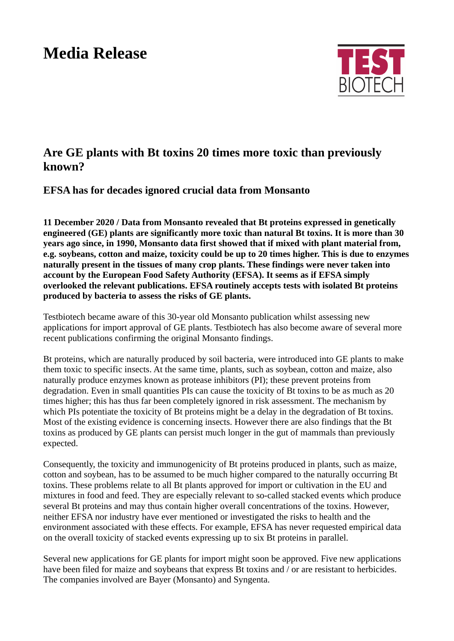## **Media Release**



## **Are GE plants with Bt toxins 20 times more toxic than previously known?**

**EFSA has for decades ignored crucial data from Monsanto**

**11 December 2020 / Data from Monsanto revealed that Bt proteins expressed in genetically engineered (GE) plants are significantly more toxic than natural Bt toxins. It is more than 30 years ago since, in 1990, Monsanto data first showed that if mixed with plant material from, e.g. soybeans, cotton and maize, toxicity could be up to 20 times higher. This is due to enzymes naturally present in the tissues of many crop plants. These findings were never taken into account by the European Food Safety Authority (EFSA). It seems as if EFSA simply overlooked the relevant publications. EFSA routinely accepts tests with isolated Bt proteins produced by bacteria to assess the risks of GE plants.** 

Testbiotech became aware of this 30-year old Monsanto publication whilst assessing new applications for import approval of GE plants. Testbiotech has also become aware of several more recent publications confirming the original Monsanto findings.

Bt proteins, which are naturally produced by soil bacteria, were introduced into GE plants to make them toxic to specific insects. At the same time, plants, such as soybean, cotton and maize, also naturally produce enzymes known as protease inhibitors (PI); these prevent proteins from degradation. Even in small quantities PIs can cause the toxicity of Bt toxins to be as much as 20 times higher; this has thus far been completely ignored in risk assessment. The mechanism by which PIs potentiate the toxicity of Bt proteins might be a delay in the degradation of Bt toxins. Most of the existing evidence is concerning insects. However there are also findings that the Bt toxins as produced by GE plants can persist much longer in the gut of mammals than previously expected.

Consequently, the toxicity and immunogenicity of Bt proteins produced in plants, such as maize, cotton and soybean, has to be assumed to be much higher compared to the naturally occurring Bt toxins. These problems relate to all Bt plants approved for import or cultivation in the EU and mixtures in food and feed. They are especially relevant to so-called stacked events which produce several Bt proteins and may thus contain higher overall concentrations of the toxins. However, neither EFSA nor industry have ever mentioned or investigated the risks to health and the environment associated with these effects. For example, EFSA has never requested empirical data on the overall toxicity of stacked events expressing up to six Bt proteins in parallel.

Several new applications for GE plants for import might soon be approved. Five new applications have been filed for maize and soybeans that express Bt toxins and / or are resistant to herbicides. The companies involved are Bayer (Monsanto) and Syngenta.